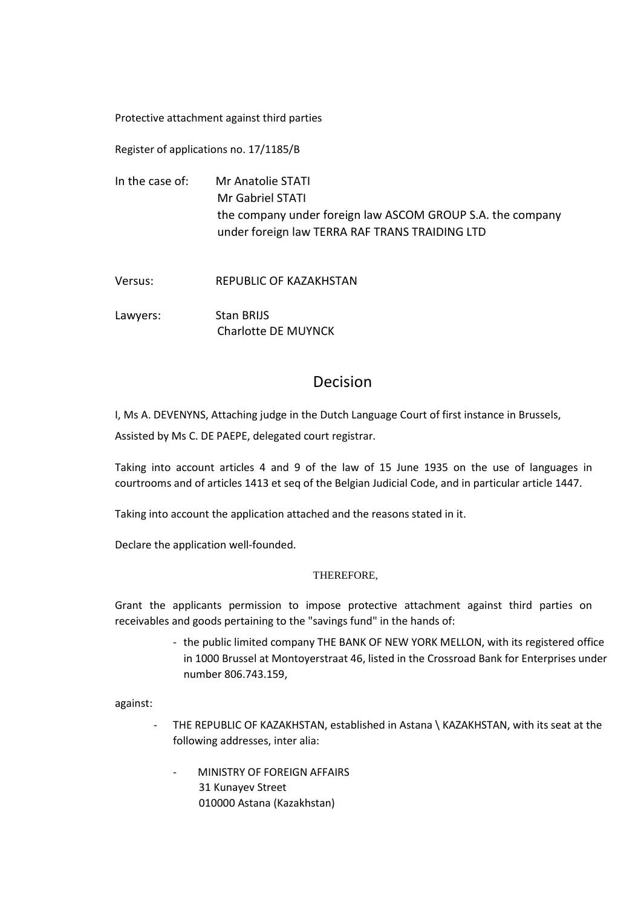Protective attachment against third parties

Register of applications no. 17/1185/B

In the case of: Mr Anatolie STATI Mr Gabriel STATI the company under foreign law ASCOM GROUP S.A. the company under foreign law TERRA RAF TRANS TRAIDING LTD

Versus: REPUBLIC OF KAZAKHSTAN

Lawyers: Stan BRIJS Charlotte DE MUYNCK

## Decision

I, Ms A. DEVENYNS, Attaching judge in the Dutch Language Court of first instance in Brussels,

Assisted by Ms C. DE PAEPE, delegated court registrar.

Taking into account articles 4 and 9 of the law of 15 June 1935 on the use of languages in courtrooms and of articles 1413 et seq of the Belgian Judicial Code, and in particular article 1447.

Taking into account the application attached and the reasons stated in it.

Declare the application well-founded.

## THEREFORE,

Grant the applicants permission to impose protective attachment against third parties on receivables and goods pertaining to the "savings fund" in the hands of:

> - the public limited company THE BANK OF NEW YORK MELLON, with its registered office in 1000 Brussel at Montoyerstraat 46, listed in the Crossroad Bank for Enterprises under number 806.743.159,

against:

- THE REPUBLIC OF KAZAKHSTAN, established in Astana \ KAZAKHSTAN, with its seat at the following addresses, inter alia:
	- MINISTRY OF FOREIGN AFFAIRS 31 Kunayev Street 010000 Astana (Kazakhstan)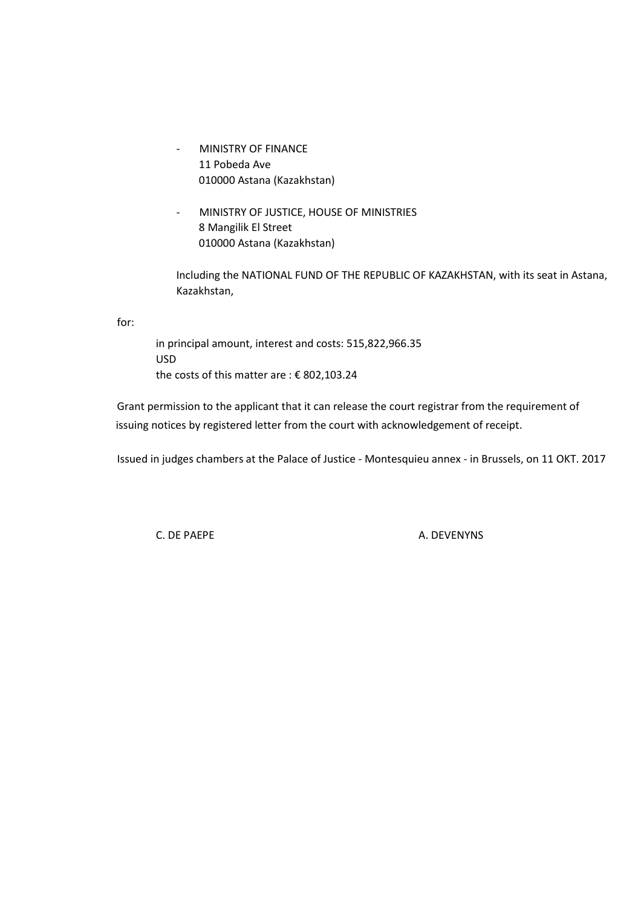- MINISTRY OF FINANCE 11 Pobeda Ave 010000 Astana (Kazakhstan)
- MINISTRY OF JUSTICE, HOUSE OF MINISTRIES 8 Mangilik El Street 010000 Astana (Kazakhstan)

Including the NATIONAL FUND OF THE REPUBLIC OF KAZAKHSTAN, with its seat in Astana, Kazakhstan,

for:

in principal amount, interest and costs: 515,822,966.35 USD the costs of this matter are : € 802,103.24

Grant permission to the applicant that it can release the court registrar from the requirement of issuing notices by registered letter from the court with acknowledgement of receipt.

Issued in judges chambers at the Palace of Justice - Montesquieu annex - in Brussels, on 11 OKT. 2017

C. DE PAEPE A. DEVENYNS